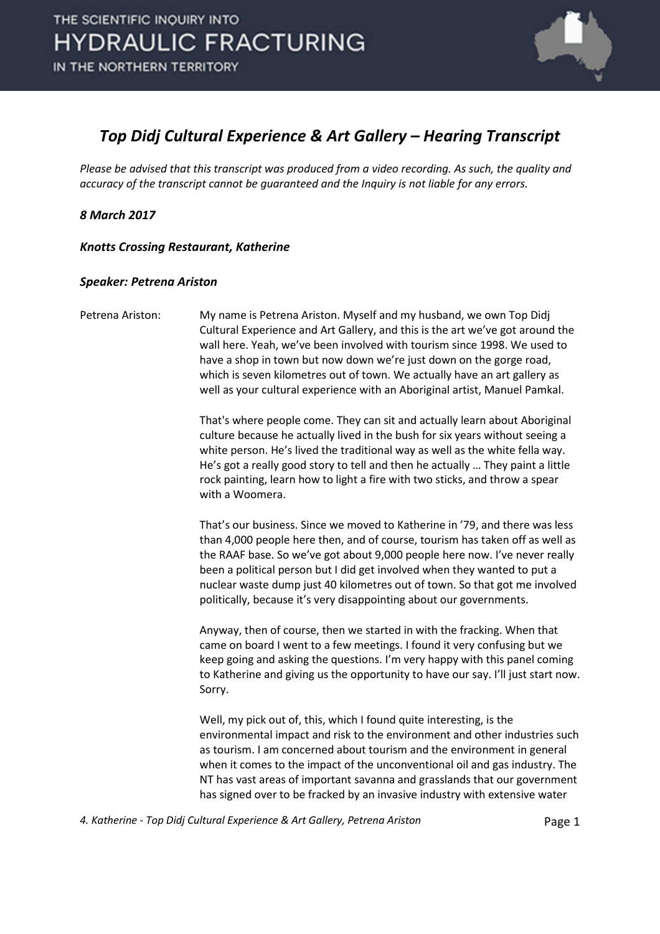

#### *Top Didj Cultural Experience & Art Gallery – Hearing Transcript*

*Please be advised that this transcript was produced from a video recording. As such, the quality and accuracy of the transcript cannot be guaranteed and the Inquiry is not liable for any errors.*

*8 March 2017* 

*Knotts Crossing Restaurant, Katherine* 

#### *Speaker: Petrena Ariston*

Petrena Ariston: My name is Petrena Ariston. Myself and my husband, we own Top Didj Cultural Experience and Art Gallery, and this is the art we've got around the wall here. Yeah, we've been involved with tourism since 1998. We used to have a shop in town but now down we're just down on the gorge road, which is seven kilometres out of town. We actually have an art gallery as well as your cultural experience with an Aboriginal artist, Manuel Pamkal.

> That's where people come. They can sit and actually learn about Aboriginal culture because he actually lived in the bush for six years without seeing a white person. He's lived the traditional way as well as the white fella way. He's got a really good story to tell and then he actually … They paint a little rock painting, learn how to light a fire with two sticks, and throw a spear with a Woomera.

That's our business. Since we moved to Katherine in '79, and there was less than 4,000 people here then, and of course, tourism has taken off as well as the RAAF base. So we've got about 9,000 people here now. I've never really been a political person but I did get involved when they wanted to put a nuclear waste dump just 40 kilometres out of town. So that got me involved politically, because it's very disappointing about our governments.

Anyway, then of course, then we started in with the fracking. When that came on board I went to a few meetings. I found it very confusing but we keep going and asking the questions. I'm very happy with this panel coming to Katherine and giving us the opportunity to have our say. I'll just start now. Sorry.

Well, my pick out of, this, which I found quite interesting, is the environmental impact and risk to the environment and other industries such as tourism. I am concerned about tourism and the environment in general when it comes to the impact of the unconventional oil and gas industry. The NT has vast areas of important savanna and grasslands that our government has signed over to be fracked by an invasive industry with extensive water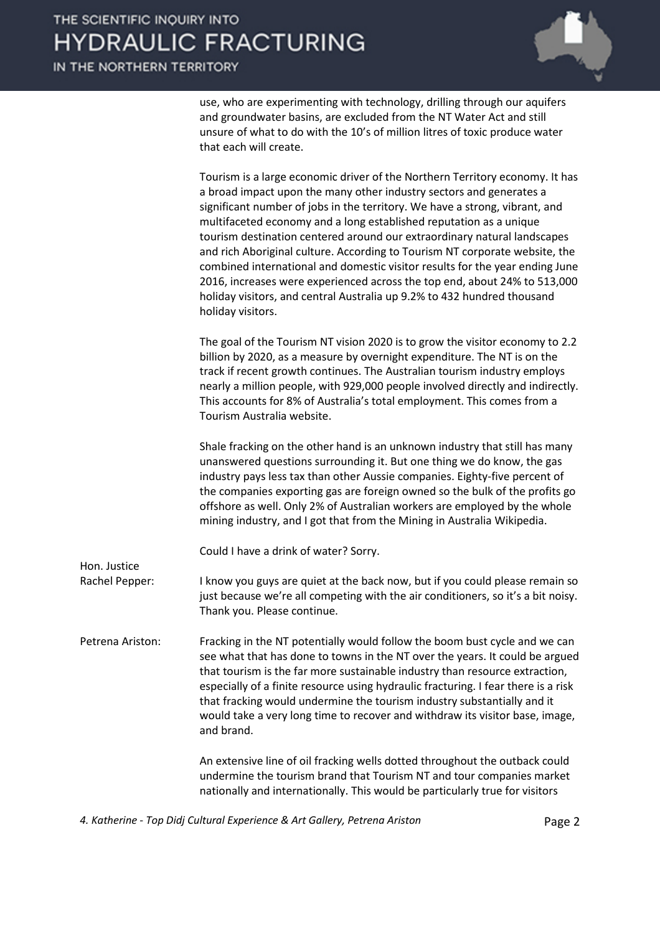IN THE NORTHERN TERRITORY

Hon. Justice



use, who are experimenting with technology, drilling through our aquifers and groundwater basins, are excluded from the NT Water Act and still unsure of what to do with the 10's of million litres of toxic produce water that each will create.

| Tourism is a large economic driver of the Northern Territory economy. It has |
|------------------------------------------------------------------------------|
| a broad impact upon the many other industry sectors and generates a          |
| significant number of jobs in the territory. We have a strong, vibrant, and  |
| multifaceted economy and a long established reputation as a unique           |
| tourism destination centered around our extraordinary natural landscapes     |
| and rich Aboriginal culture. According to Tourism NT corporate website, the  |
| combined international and domestic visitor results for the year ending June |
| 2016, increases were experienced across the top end, about 24% to 513,000    |
| holiday visitors, and central Australia up 9.2% to 432 hundred thousand      |
| holiday visitors.                                                            |

The goal of the Tourism NT vision 2020 is to grow the visitor economy to 2.2 billion by 2020, as a measure by overnight expenditure. The NT is on the track if recent growth continues. The Australian tourism industry employs nearly a million people, with 929,000 people involved directly and indirectly. This accounts for 8% of Australia's total employment. This comes from a Tourism Australia website.

Shale fracking on the other hand is an unknown industry that still has many unanswered questions surrounding it. But one thing we do know, the gas industry pays less tax than other Aussie companies. Eighty-five percent of the companies exporting gas are foreign owned so the bulk of the profits go offshore as well. Only 2% of Australian workers are employed by the whole mining industry, and I got that from the Mining in Australia Wikipedia.

Could I have a drink of water? Sorry.

- Rachel Pepper: I know you guys are quiet at the back now, but if you could please remain so just because we're all competing with the air conditioners, so it's a bit noisy. Thank you. Please continue.
- Petrena Ariston: Fracking in the NT potentially would follow the boom bust cycle and we can see what that has done to towns in the NT over the years. It could be argued that tourism is the far more sustainable industry than resource extraction, especially of a finite resource using hydraulic fracturing. I fear there is a risk that fracking would undermine the tourism industry substantially and it would take a very long time to recover and withdraw its visitor base, image, and brand.

An extensive line of oil fracking wells dotted throughout the outback could undermine the tourism brand that Tourism NT and tour companies market nationally and internationally. This would be particularly true for visitors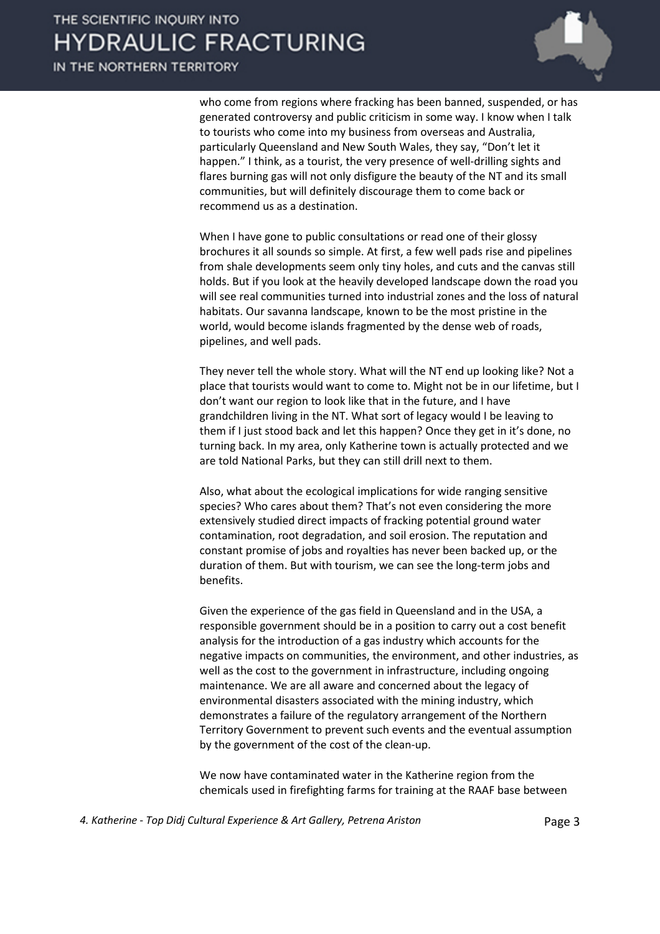

who come from regions where fracking has been banned, suspended, or has generated controversy and public criticism in some way. I know when I talk to tourists who come into my business from overseas and Australia, particularly Queensland and New South Wales, they say, "Don't let it happen." I think, as a tourist, the very presence of well-drilling sights and flares burning gas will not only disfigure the beauty of the NT and its small communities, but will definitely discourage them to come back or recommend us as a destination.

When I have gone to public consultations or read one of their glossy brochures it all sounds so simple. At first, a few well pads rise and pipelines from shale developments seem only tiny holes, and cuts and the canvas still holds. But if you look at the heavily developed landscape down the road you will see real communities turned into industrial zones and the loss of natural habitats. Our savanna landscape, known to be the most pristine in the world, would become islands fragmented by the dense web of roads, pipelines, and well pads.

They never tell the whole story. What will the NT end up looking like? Not a place that tourists would want to come to. Might not be in our lifetime, but I don't want our region to look like that in the future, and I have grandchildren living in the NT. What sort of legacy would I be leaving to them if I just stood back and let this happen? Once they get in it's done, no turning back. In my area, only Katherine town is actually protected and we are told National Parks, but they can still drill next to them.

Also, what about the ecological implications for wide ranging sensitive species? Who cares about them? That's not even considering the more extensively studied direct impacts of fracking potential ground water contamination, root degradation, and soil erosion. The reputation and constant promise of jobs and royalties has never been backed up, or the duration of them. But with tourism, we can see the long-term jobs and benefits.

Given the experience of the gas field in Queensland and in the USA, a responsible government should be in a position to carry out a cost benefit analysis for the introduction of a gas industry which accounts for the negative impacts on communities, the environment, and other industries, as well as the cost to the government in infrastructure, including ongoing maintenance. We are all aware and concerned about the legacy of environmental disasters associated with the mining industry, which demonstrates a failure of the regulatory arrangement of the Northern Territory Government to prevent such events and the eventual assumption by the government of the cost of the clean-up.

We now have contaminated water in the Katherine region from the chemicals used in firefighting farms for training at the RAAF base between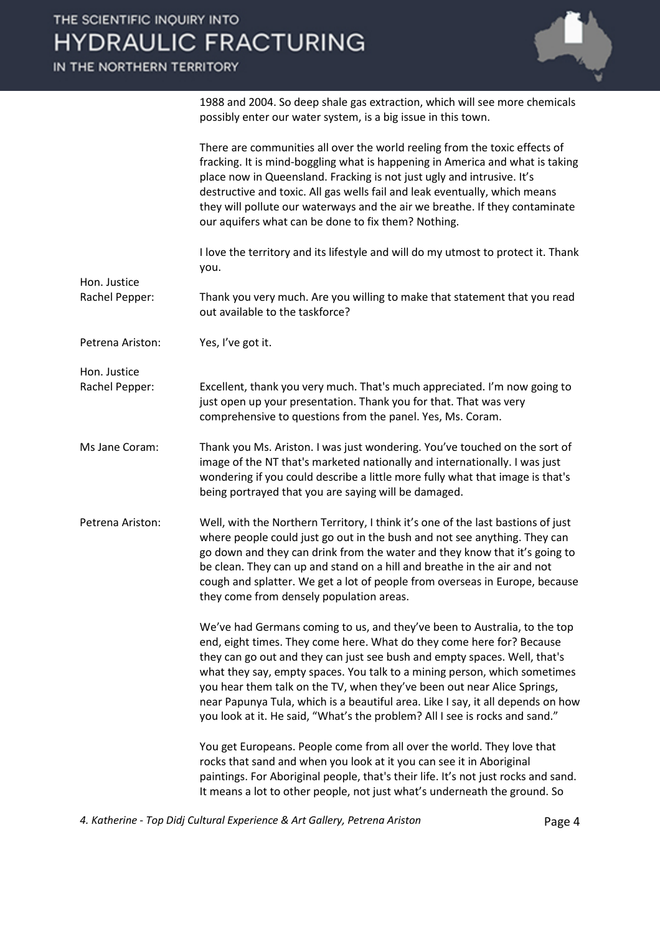

|                                | There are communities all over the world reeling from the toxic effects of<br>fracking. It is mind-boggling what is happening in America and what is taking<br>place now in Queensland. Fracking is not just ugly and intrusive. It's<br>destructive and toxic. All gas wells fail and leak eventually, which means<br>they will pollute our waterways and the air we breathe. If they contaminate<br>our aquifers what can be done to fix them? Nothing.                                                                                                 |
|--------------------------------|-----------------------------------------------------------------------------------------------------------------------------------------------------------------------------------------------------------------------------------------------------------------------------------------------------------------------------------------------------------------------------------------------------------------------------------------------------------------------------------------------------------------------------------------------------------|
|                                | I love the territory and its lifestyle and will do my utmost to protect it. Thank<br>you.                                                                                                                                                                                                                                                                                                                                                                                                                                                                 |
| Hon. Justice<br>Rachel Pepper: | Thank you very much. Are you willing to make that statement that you read<br>out available to the taskforce?                                                                                                                                                                                                                                                                                                                                                                                                                                              |
| Petrena Ariston:               | Yes, I've got it.                                                                                                                                                                                                                                                                                                                                                                                                                                                                                                                                         |
| Hon. Justice                   |                                                                                                                                                                                                                                                                                                                                                                                                                                                                                                                                                           |
| Rachel Pepper:                 | Excellent, thank you very much. That's much appreciated. I'm now going to<br>just open up your presentation. Thank you for that. That was very<br>comprehensive to questions from the panel. Yes, Ms. Coram.                                                                                                                                                                                                                                                                                                                                              |
| Ms Jane Coram:                 | Thank you Ms. Ariston. I was just wondering. You've touched on the sort of<br>image of the NT that's marketed nationally and internationally. I was just<br>wondering if you could describe a little more fully what that image is that's<br>being portrayed that you are saying will be damaged.                                                                                                                                                                                                                                                         |
| Petrena Ariston:               | Well, with the Northern Territory, I think it's one of the last bastions of just<br>where people could just go out in the bush and not see anything. They can<br>go down and they can drink from the water and they know that it's going to<br>be clean. They can up and stand on a hill and breathe in the air and not<br>cough and splatter. We get a lot of people from overseas in Europe, because<br>they come from densely population areas.                                                                                                        |
|                                | We've had Germans coming to us, and they've been to Australia, to the top<br>end, eight times. They come here. What do they come here for? Because<br>they can go out and they can just see bush and empty spaces. Well, that's<br>what they say, empty spaces. You talk to a mining person, which sometimes<br>you hear them talk on the TV, when they've been out near Alice Springs,<br>near Papunya Tula, which is a beautiful area. Like I say, it all depends on how<br>you look at it. He said, "What's the problem? All I see is rocks and sand." |
|                                | You get Europeans. People come from all over the world. They love that<br>rocks that sand and when you look at it you can see it in Aboriginal<br>paintings. For Aboriginal people, that's their life. It's not just rocks and sand.<br>It means a lot to other people, not just what's underneath the ground. So                                                                                                                                                                                                                                         |

1988 and 2004. So deep shale gas extraction, which will see more chemicals

possibly enter our water system, is a big issue in this town.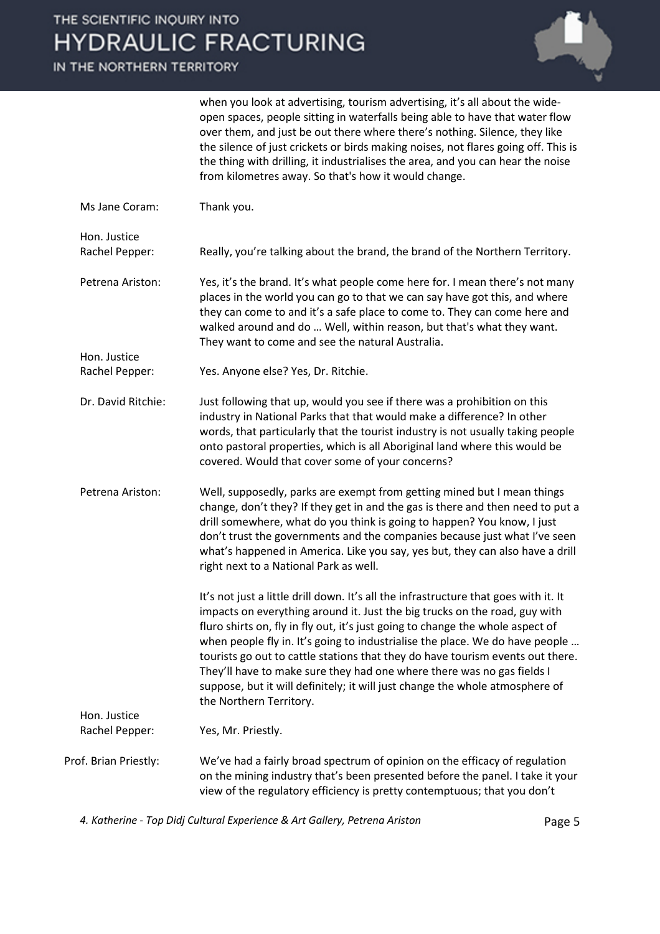# THE

IN<sub>T</sub>

| HE SCIENTIFIC INQUIRY INTO<br><b>IYDRAULIC FRACTURING</b> |                                                                                                                                                                                                                                                                                                                                                                                                                                                                                                                                                                                                             |  |
|-----------------------------------------------------------|-------------------------------------------------------------------------------------------------------------------------------------------------------------------------------------------------------------------------------------------------------------------------------------------------------------------------------------------------------------------------------------------------------------------------------------------------------------------------------------------------------------------------------------------------------------------------------------------------------------|--|
| THE NORTHERN TERRITORY                                    |                                                                                                                                                                                                                                                                                                                                                                                                                                                                                                                                                                                                             |  |
|                                                           | when you look at advertising, tourism advertising, it's all about the wide-<br>open spaces, people sitting in waterfalls being able to have that water flow<br>over them, and just be out there where there's nothing. Silence, they like<br>the silence of just crickets or birds making noises, not flares going off. This is<br>the thing with drilling, it industrialises the area, and you can hear the noise<br>from kilometres away. So that's how it would change.                                                                                                                                  |  |
| Ms Jane Coram:                                            | Thank you.                                                                                                                                                                                                                                                                                                                                                                                                                                                                                                                                                                                                  |  |
| Hon. Justice<br>Rachel Pepper:                            | Really, you're talking about the brand, the brand of the Northern Territory.                                                                                                                                                                                                                                                                                                                                                                                                                                                                                                                                |  |
| Petrena Ariston:                                          | Yes, it's the brand. It's what people come here for. I mean there's not many<br>places in the world you can go to that we can say have got this, and where<br>they can come to and it's a safe place to come to. They can come here and<br>walked around and do  Well, within reason, but that's what they want.<br>They want to come and see the natural Australia.                                                                                                                                                                                                                                        |  |
| Hon. Justice<br>Rachel Pepper:                            | Yes. Anyone else? Yes, Dr. Ritchie.                                                                                                                                                                                                                                                                                                                                                                                                                                                                                                                                                                         |  |
| Dr. David Ritchie:                                        | Just following that up, would you see if there was a prohibition on this<br>industry in National Parks that that would make a difference? In other<br>words, that particularly that the tourist industry is not usually taking people<br>onto pastoral properties, which is all Aboriginal land where this would be<br>covered. Would that cover some of your concerns?                                                                                                                                                                                                                                     |  |
| Petrena Ariston:                                          | Well, supposedly, parks are exempt from getting mined but I mean things<br>change, don't they? If they get in and the gas is there and then need to put a<br>drill somewhere, what do you think is going to happen? You know, I just<br>don't trust the governments and the companies because just what I've seen<br>what's happened in America. Like you say, yes but, they can also have a drill<br>right next to a National Park as well.                                                                                                                                                                |  |
|                                                           | It's not just a little drill down. It's all the infrastructure that goes with it. It<br>impacts on everything around it. Just the big trucks on the road, guy with<br>fluro shirts on, fly in fly out, it's just going to change the whole aspect of<br>when people fly in. It's going to industrialise the place. We do have people<br>tourists go out to cattle stations that they do have tourism events out there.<br>They'll have to make sure they had one where there was no gas fields I<br>suppose, but it will definitely; it will just change the whole atmosphere of<br>the Northern Territory. |  |
| Hon. Justice<br>Rachel Pepper:                            | Yes, Mr. Priestly.                                                                                                                                                                                                                                                                                                                                                                                                                                                                                                                                                                                          |  |
| Prof. Brian Priestly:                                     | We've had a fairly broad spectrum of opinion on the efficacy of regulation<br>on the mining industry that's been presented before the panel. I take it your<br>view of the regulatory efficiency is pretty contemptuous; that you don't                                                                                                                                                                                                                                                                                                                                                                     |  |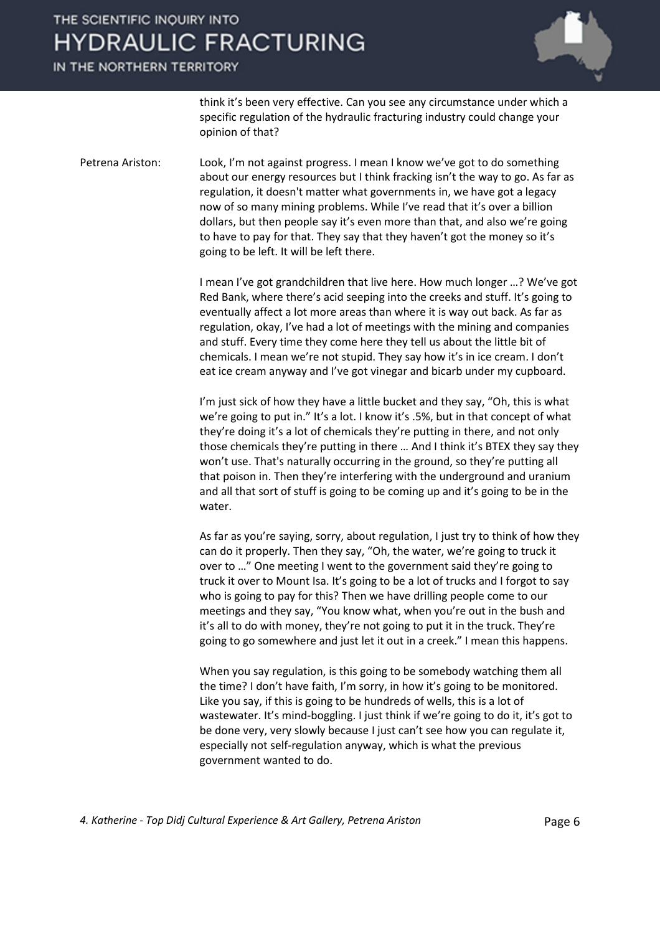#### IN THE NORTHERN TERRITORY



think it's been very effective. Can you see any circumstance under which a specific regulation of the hydraulic fracturing industry could change your opinion of that?

Petrena Ariston: Look, I'm not against progress. I mean I know we've got to do something about our energy resources but I think fracking isn't the way to go. As far as regulation, it doesn't matter what governments in, we have got a legacy now of so many mining problems. While I've read that it's over a billion dollars, but then people say it's even more than that, and also we're going to have to pay for that. They say that they haven't got the money so it's going to be left. It will be left there.

> I mean I've got grandchildren that live here. How much longer …? We've got Red Bank, where there's acid seeping into the creeks and stuff. It's going to eventually affect a lot more areas than where it is way out back. As far as regulation, okay, I've had a lot of meetings with the mining and companies and stuff. Every time they come here they tell us about the little bit of chemicals. I mean we're not stupid. They say how it's in ice cream. I don't eat ice cream anyway and I've got vinegar and bicarb under my cupboard.

> I'm just sick of how they have a little bucket and they say, "Oh, this is what we're going to put in." It's a lot. I know it's .5%, but in that concept of what they're doing it's a lot of chemicals they're putting in there, and not only those chemicals they're putting in there … And I think it's BTEX they say they won't use. That's naturally occurring in the ground, so they're putting all that poison in. Then they're interfering with the underground and uranium and all that sort of stuff is going to be coming up and it's going to be in the water.

> As far as you're saying, sorry, about regulation, I just try to think of how they can do it properly. Then they say, "Oh, the water, we're going to truck it over to …" One meeting I went to the government said they're going to truck it over to Mount Isa. It's going to be a lot of trucks and I forgot to say who is going to pay for this? Then we have drilling people come to our meetings and they say, "You know what, when you're out in the bush and it's all to do with money, they're not going to put it in the truck. They're going to go somewhere and just let it out in a creek." I mean this happens.

When you say regulation, is this going to be somebody watching them all the time? I don't have faith, I'm sorry, in how it's going to be monitored. Like you say, if this is going to be hundreds of wells, this is a lot of wastewater. It's mind-boggling. I just think if we're going to do it, it's got to be done very, very slowly because I just can't see how you can regulate it, especially not self-regulation anyway, which is what the previous government wanted to do.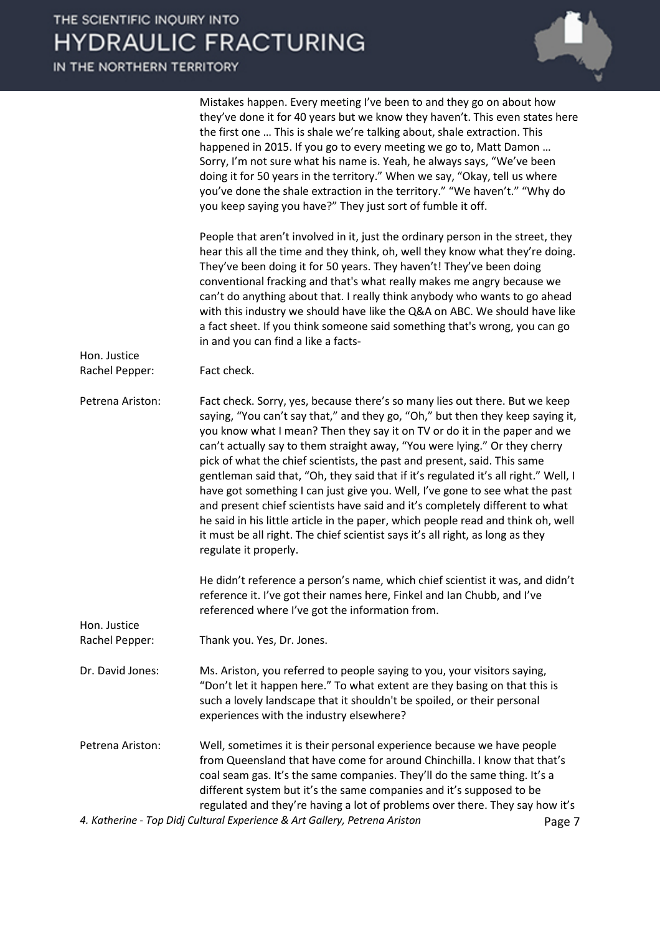IN THE NORTHERN TERRITORY

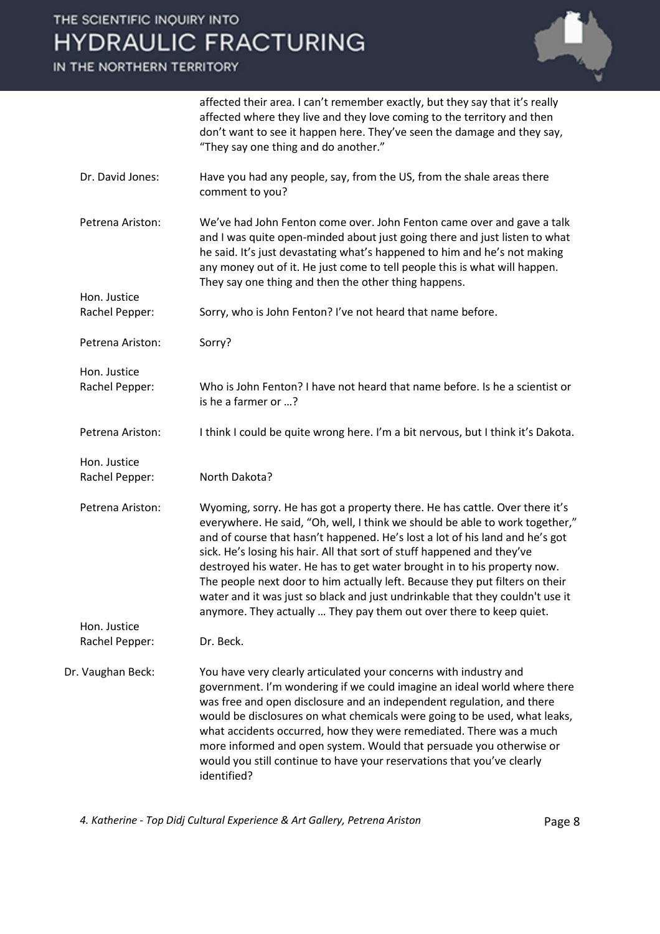IN THE NORTHERN TERRITORY



|                                | affected their area. I can't remember exactly, but they say that it's really<br>affected where they live and they love coming to the territory and then<br>don't want to see it happen here. They've seen the damage and they say,<br>"They say one thing and do another."                                                                                                                                                                                                                                                                                                                                                                 |
|--------------------------------|--------------------------------------------------------------------------------------------------------------------------------------------------------------------------------------------------------------------------------------------------------------------------------------------------------------------------------------------------------------------------------------------------------------------------------------------------------------------------------------------------------------------------------------------------------------------------------------------------------------------------------------------|
| Dr. David Jones:               | Have you had any people, say, from the US, from the shale areas there<br>comment to you?                                                                                                                                                                                                                                                                                                                                                                                                                                                                                                                                                   |
| Petrena Ariston:               | We've had John Fenton come over. John Fenton came over and gave a talk<br>and I was quite open-minded about just going there and just listen to what<br>he said. It's just devastating what's happened to him and he's not making<br>any money out of it. He just come to tell people this is what will happen.<br>They say one thing and then the other thing happens.                                                                                                                                                                                                                                                                    |
| Hon. Justice<br>Rachel Pepper: | Sorry, who is John Fenton? I've not heard that name before.                                                                                                                                                                                                                                                                                                                                                                                                                                                                                                                                                                                |
|                                |                                                                                                                                                                                                                                                                                                                                                                                                                                                                                                                                                                                                                                            |
| Petrena Ariston:               | Sorry?                                                                                                                                                                                                                                                                                                                                                                                                                                                                                                                                                                                                                                     |
| Hon. Justice<br>Rachel Pepper: | Who is John Fenton? I have not heard that name before. Is he a scientist or<br>is he a farmer or ?                                                                                                                                                                                                                                                                                                                                                                                                                                                                                                                                         |
| Petrena Ariston:               | I think I could be quite wrong here. I'm a bit nervous, but I think it's Dakota.                                                                                                                                                                                                                                                                                                                                                                                                                                                                                                                                                           |
| Hon. Justice<br>Rachel Pepper: | North Dakota?                                                                                                                                                                                                                                                                                                                                                                                                                                                                                                                                                                                                                              |
| Petrena Ariston:               | Wyoming, sorry. He has got a property there. He has cattle. Over there it's<br>everywhere. He said, "Oh, well, I think we should be able to work together,"<br>and of course that hasn't happened. He's lost a lot of his land and he's got<br>sick. He's losing his hair. All that sort of stuff happened and they've<br>destroyed his water. He has to get water brought in to his property now.<br>The people next door to him actually left. Because they put filters on their<br>water and it was just so black and just undrinkable that they couldn't use it<br>anymore. They actually  They pay them out over there to keep quiet. |
| Hon. Justice<br>Rachel Pepper: | Dr. Beck.                                                                                                                                                                                                                                                                                                                                                                                                                                                                                                                                                                                                                                  |
| Dr. Vaughan Beck:              | You have very clearly articulated your concerns with industry and<br>government. I'm wondering if we could imagine an ideal world where there<br>was free and open disclosure and an independent regulation, and there<br>would be disclosures on what chemicals were going to be used, what leaks,<br>what accidents occurred, how they were remediated. There was a much<br>more informed and open system. Would that persuade you otherwise or<br>would you still continue to have your reservations that you've clearly<br>identified?                                                                                                 |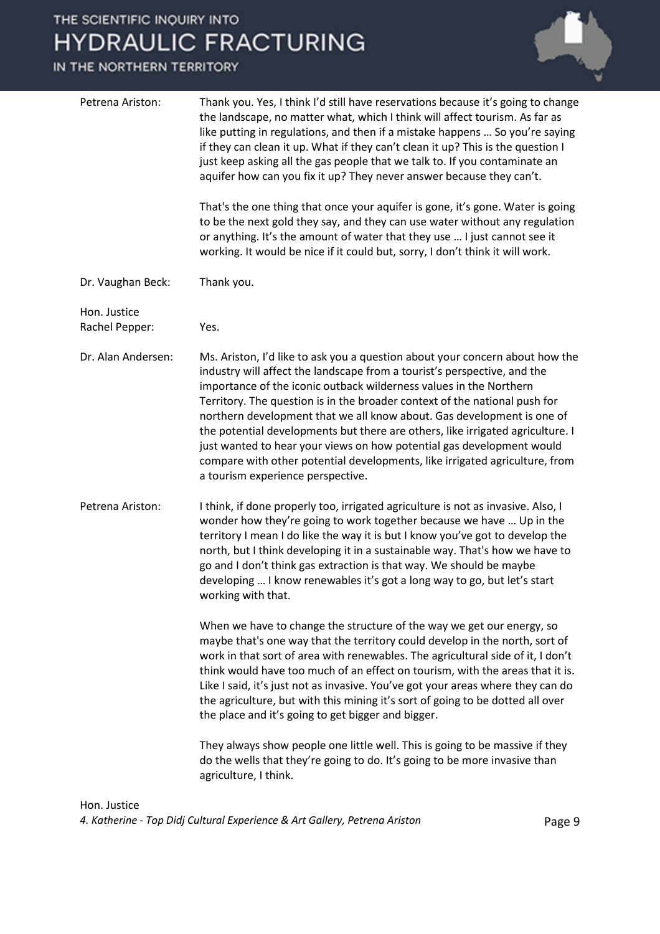#### IN THE NORTHERN TERRITORY



like putting in regulations, and then if a mistake happens … So you're saying if they can clean it up. What if they can't clean it up? This is the question I just keep asking all the gas people that we talk to. If you contaminate an aquifer how can you fix it up? They never answer because they can't. That's the one thing that once your aquifer is gone, it's gone. Water is going to be the next gold they say, and they can use water without any regulation or anything. It's the amount of water that they use … I just cannot see it working. It would be nice if it could but, sorry, I don't think it will work. Dr. Vaughan Beck: Thank you. Hon. Justice Rachel Pepper: Yes. Dr. Alan Andersen: Ms. Ariston, I'd like to ask you a question about your concern about how the industry will affect the landscape from a tourist's perspective, and the importance of the iconic outback wilderness values in the Northern Territory. The question is in the broader context of the national push for northern development that we all know about. Gas development is one of the potential developments but there are others, like irrigated agriculture. I just wanted to hear your views on how potential gas development would compare with other potential developments, like irrigated agriculture, from a tourism experience perspective. Petrena Ariston: I think, if done properly too, irrigated agriculture is not as invasive. Also, I wonder how they're going to work together because we have … Up in the territory I mean I do like the way it is but I know you've got to develop the north, but I think developing it in a sustainable way. That's how we have to go and I don't think gas extraction is that way. We should be maybe developing … I know renewables it's got a long way to go, but let's start working with that. When we have to change the structure of the way we get our energy, so maybe that's one way that the territory could develop in the north, sort of work in that sort of area with renewables. The agricultural side of it, I don't think would have too much of an effect on tourism, with the areas that it is. Like I said, it's just not as invasive. You've got your areas where they can do the agriculture, but with this mining it's sort of going to be dotted all over the place and it's going to get bigger and bigger. They always show people one little well. This is going to be massive if they do the wells that they're going to do. It's going to be more invasive than agriculture, I think.